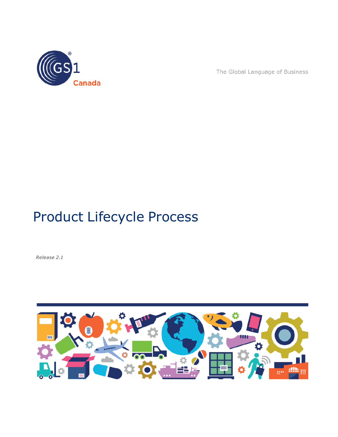

The Global Language of Business

# Product Lifecycle Process

*Release 2.1*

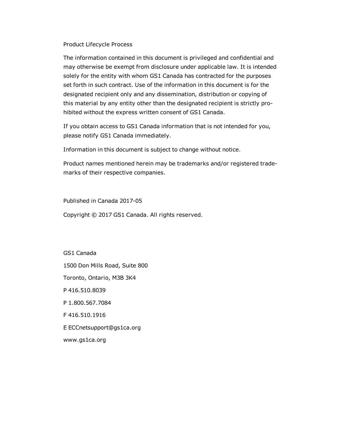#### Product Lifecycle Process

The information contained in this document is privileged and confidential and may otherwise be exempt from disclosure under applicable law. It is intended solely for the entity with whom GS1 Canada has contracted for the purposes set forth in such contract. Use of the information in this document is for the designated recipient only and any dissemination, distribution or copying of this material by any entity other than the designated recipient is strictly prohibited without the express written consent of GS1 Canada.

If you obtain access to GS1 Canada information that is not intended for you, please notify GS1 Canada immediately.

Information in this document is subject to change without notice.

Product names mentioned herein may be trademarks and/or registered trademarks of their respective companies.

Published in Canada 2017-05

Copyright © 2017 GS1 Canada. All rights reserved.

GS1 Canada 1500 Don Mills Road, Suite 800 Toronto, Ontario, M3B 3K4 P 416.510.8039 P 1.800.567.7084 F 416.510.1916 E ECCnetsupport@gs1ca.org www.gs1ca.org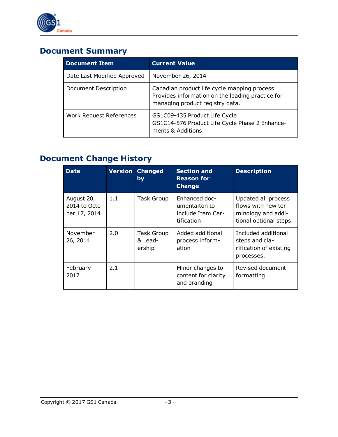

## **Document Summary**

| <b>Document Item</b>           | <b>Current Value</b>                                                                                                               |
|--------------------------------|------------------------------------------------------------------------------------------------------------------------------------|
| Date Last Modified Approved    | November 26, 2014                                                                                                                  |
| Document Description           | Canadian product life cycle mapping process<br>Provides information on the leading practice for<br>managing product registry data. |
| <b>Work Request References</b> | GS1C09-435 Product Life Cycle<br>GS1C14-576 Product Life Cycle Phase 2 Enhance-<br>ments & Additions                               |

## **Document Change History**

| <b>Date</b>                                 |     | <b>Version Changed</b><br>by           | <b>Section and</b><br><b>Reason for</b><br><b>Change</b>          | <b>Description</b>                                                                        |
|---------------------------------------------|-----|----------------------------------------|-------------------------------------------------------------------|-------------------------------------------------------------------------------------------|
| August 20,<br>2014 to Octo-<br>ber 17, 2014 | 1.1 | <b>Task Group</b>                      | Enhanced doc-<br>umentaiton to<br>include Item Cer-<br>tification | Updated all process<br>flows with new ter-<br>minology and addi-<br>tional optional steps |
| November<br>26, 2014                        | 2.0 | <b>Task Group</b><br>& Lead-<br>ership | Added additional<br>process inform-<br>ation                      | Included additional<br>steps and cla-<br>rification of existing<br>processes.             |
| February<br>2017                            | 2.1 |                                        | Minor changes to<br>content for clarity<br>and branding           | Revised document<br>formatting                                                            |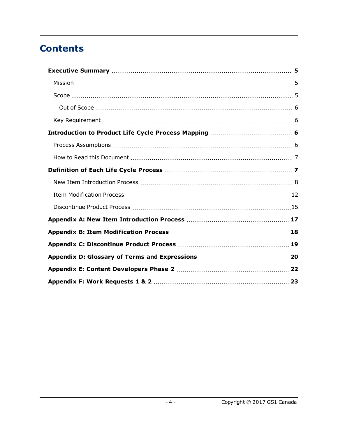## **Contents**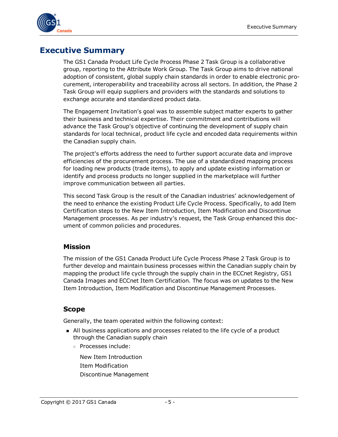

## <span id="page-4-0"></span>**Executive Summary**

The GS1 Canada Product Life Cycle Process Phase 2 Task Group is a collaborative group, reporting to the Attribute Work Group. The Task Group aims to drive national adoption of consistent, global supply chain standards in order to enable electronic procurement, interoperability and traceability across all sectors. In addition, the Phase 2 Task Group will equip suppliers and providers with the standards and solutions to exchange accurate and standardized product data.

The Engagement Invitation's goal was to assemble subject matter experts to gather their business and technical expertise. Their commitment and contributions will advance the Task Group's objective of continuing the development of supply chain standards for local technical, product life cycle and encoded data requirements within the Canadian supply chain.

The project's efforts address the need to further support accurate data and improve efficiencies of the procurement process. The use of a standardized mapping process for loading new products (trade items), to apply and update existing information or identify and process products no longer supplied in the marketplace will further improve communication between all parties.

This second Task Group is the result of the Canadian industries' acknowledgement of the need to enhance the existing Product Life Cycle Process. Specifically, to add Item Certification steps to the New Item Introduction, Item Modification and Discontinue Management processes. As per industry's request, the Task Group enhanced this document of common policies and procedures.

#### <span id="page-4-1"></span>**Mission**

The mission of the GS1 Canada Product Life Cycle Process Phase 2 Task Group is to further develop and maintain business processes within the Canadian supply chain by mapping the product life cycle through the supply chain in the ECCnet Registry, GS1 Canada Images and ECCnet Item Certification. The focus was on updates to the New Item Introduction, Item Modification and Discontinue Management Processes.

### <span id="page-4-2"></span>**Scope**

Generally, the team operated within the following context:

- n All business applications and processes related to the life cycle of a product through the Canadian supply chain
	- <sup>o</sup> Processes include:

New Item Introduction Item Modification Discontinue Management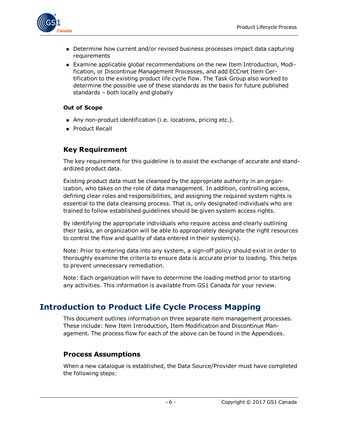

- Determine how current and/or revised business processes impact data capturing requirements
- **Examine applicable global recommendations on the new Item Introduction, Modi**fication, or Discontinue Management Processes, and add ECCnet Item Certification to the existing product life cycle flow. The Task Group also worked to determine the possible use of these standards as the basis for future published standards – both locally and globally

#### <span id="page-5-0"></span>**Out of Scope**

- n Any non-product identification (i.e. locations, pricing etc.).
- **Product Recall**

### <span id="page-5-1"></span>**Key Requirement**

The key requirement for this guideline is to assist the exchange of accurate and standardized product data.

Existing product data must be cleansed by the appropriate authority in an organization, who takes on the role of data management. In addition, controlling access, defining clear roles and responsibilities, and assigning the required system rights is essential to the data cleansing process. That is, only designated individuals who are trained to follow established guidelines should be given system access rights.

By identifying the appropriate individuals who require access and clearly outlining their tasks, an organization will be able to appropriately designate the right resources to control the flow and quality of data entered in their system(s).

Note: Prior to entering data into any system, a sign-off policy should exist in order to thoroughly examine the criteria to ensure data is accurate prior to loading. This helps to prevent unnecessary remediation.

Note: Each organization will have to determine the loading method prior to starting any activities. This information is available from GS1 Canada for your review.

## <span id="page-5-2"></span>**Introduction to Product Life Cycle Process Mapping**

This document outlines information on three separate item management processes. These include: New Item Introduction, Item Modification and Discontinue Management. The process flow for each of the above can be found in the Appendices.

### <span id="page-5-3"></span>**Process Assumptions**

When a new catalogue is established, the Data Source/Provider must have completed the following steps: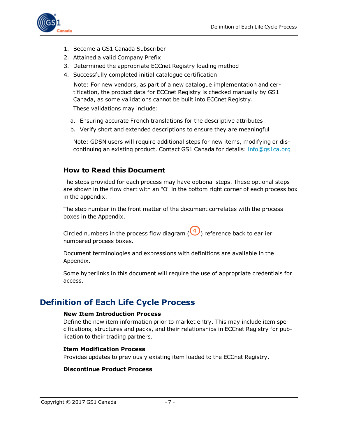

- 1. Become a GS1 Canada Subscriber
- 2. Attained a valid Company Prefix
- 3. Determined the appropriate ECCnet Registry loading method
- 4. Successfully completed initial catalogue certification

Note: For new vendors, as part of a new catalogue implementation and certification, the product data for ECCnet Registry is checked manually by GS1 Canada, as some validations cannot be built into ECCnet Registry.

These validations may include:

- a. Ensuring accurate French translations for the descriptive attributes
- b. Verify short and extended descriptions to ensure they are meaningful

Note: GDSN users will require additional steps for new items, modifying or discontinuing an existing product. Contact GS1 Canada for details: [info@gs1ca.org](mailto:info@gs1ca.org?subject=GDSN Additional Steps?subject=GDSN Additional Steps)

### <span id="page-6-0"></span>**How to Read this Document**

The steps provided for each process may have optional steps. These optional steps are shown in the flow chart with an "O" in the bottom right corner of each process box in the appendix.

The step number in the front matter of the document correlates with the process boxes in the Appendix.

Circled numbers in the process flow diagram  $(\bigodot)$  reference back to earlier numbered process boxes.

Document terminologies and expressions with definitions are available in the Appendix.

Some hyperlinks in this document will require the use of appropriate credentials for access.

### <span id="page-6-1"></span>**Definition of Each Life Cycle Process**

#### **New Item Introduction Process**

Define the new item information prior to market entry. This may include item specifications, structures and packs, and their relationships in ECCnet Registry for publication to their trading partners.

#### **Item Modification Process**

Provides updates to previously existing item loaded to the ECCnet Registry.

#### **Discontinue Product Process**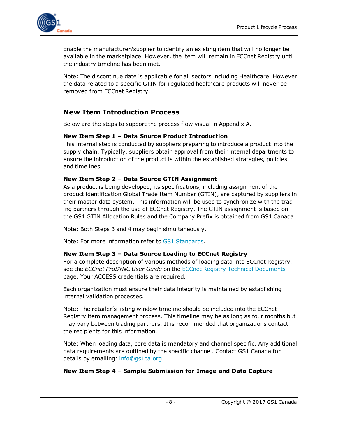

Enable the manufacturer/supplier to identify an existing item that will no longer be available in the marketplace. However, the item will remain in ECCnet Registry until the industry timeline has been met.

Note: The discontinue date is applicable for all sectors including Healthcare. However the data related to a specific GTIN for regulated healthcare products will never be removed from ECCnet Registry.

### <span id="page-7-0"></span>**New Item Introduction Process**

Below are the steps to support the process flow visual in Appendix A.

#### **New Item Step 1 – Data Source Product Introduction**

This internal step is conducted by suppliers preparing to introduce a product into the supply chain. Typically, suppliers obtain approval from their internal departments to ensure the introduction of the product is within the established strategies, policies and timelines.

#### **New Item Step 2 – Data Source GTIN Assignment**

As a product is being developed, its specifications, including assignment of the product identification Global Trade Item Number (GTIN), are captured by suppliers in their master data system. This information will be used to synchronize with the trading partners through the use of ECCnet Registry. The GTIN assignment is based on the GS1 GTIN Allocation Rules and the Company Prefix is obtained from GS1 Canada.

Note: Both Steps 3 and 4 may begin simultaneously.

Note: For more information refer to GS1 [Standards](http://www.gs1ca.org/pages/n/home/index.asp).

#### **New Item Step 3 – Data Source Loading to ECCnet Registry**

For a complete description of various methods of loading data into ECCnet Registry, see the *ECCnet ProSYNC User Guide* on the ECCnet Registry Technical [Documents](http://www.gs1ca.org/apps/eccnet/documents.asp) page. Your ACCESS credentials are required.

Each organization must ensure their data integrity is maintained by establishing internal validation processes.

Note: The retailer's listing window timeline should be included into the ECCnet Registry item management process. This timeline may be as long as four months but may vary between trading partners. It is recommended that organizations contact the recipients for this information.

Note: When loading data, core data is mandatory and channel specific. Any additional data requirements are outlined by the specific channel. Contact GS1 Canada for details by emailing: [info@gs1ca.org](mailto:info@gs1ca.org?subject=Data Requirements around Loading Product Data?subject=Data Requirements around Loading Product Data).

#### **New Item Step 4 – Sample Submission for Image and Data Capture**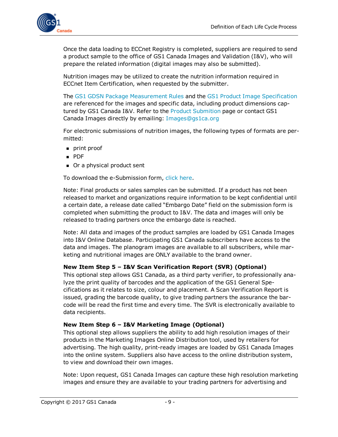

Once the data loading to ECCnet Registry is completed, suppliers are required to send a product sample to the office of GS1 Canada Images and Validation (I&V), who will prepare the related information (digital images may also be submitted).

Nutrition images may be utilized to create the nutrition information required in ECCnet Item Certification, when requested by the submitter.

The GS1 GDSN Package [Measurement](http://www.gs1.org/docs/gsmp/gdsn/GDSN_Package_Measurement_Rules.pdf) Rules and the GS1 Product Image [Specification](http://www.gs1ca.org/files/Product_Image_Specification.pdf) are referenced for the images and specific data, including product dimensions captured by GS1 Canada I&V. Refer to the Product [Submition](http://www.gs1ca.org/pages/n/Services/IV_Submitting_Products.asp) page or contact GS1 Canada Images directly by emailing: [Images@gs1ca.org](mailto:images@gs1ca.org?subject=Submitting Product Images?subject=Submitting Product Images)

For electronic submissions of nutrition images, the following types of formats are permitted:

- **n** print proof
- <sup>n</sup> PDF
- Or a physical product sent

To download the e-Submission form, click [here](http://www.gs1ca.org/EICS/Item_Cert_e-Submission_form_en.xls).

Note: Final products or sales samples can be submitted. If a product has not been released to market and organizations require information to be kept confidential until a certain date, a release date called "Embargo Date" field on the submission form is completed when submitting the product to I&V. The data and images will only be released to trading partners once the embargo date is reached.

Note: All data and images of the product samples are loaded by GS1 Canada Images into I&V Online Database. Participating GS1 Canada subscribers have access to the data and images. The planogram images are available to all subscribers, while marketing and nutritional images are ONLY available to the brand owner.

#### **New Item Step 5 – I&V Scan Verification Report (SVR) (Optional)**

This optional step allows GS1 Canada, as a third party verifier, to professionally analyze the print quality of barcodes and the application of the GS1 General Specifications as it relates to size, colour and placement. A Scan Verification Report is issued, grading the barcode quality, to give trading partners the assurance the barcode will be read the first time and every time. The SVR is electronically available to data recipients.

#### **New Item Step 6 – I&V Marketing Image (Optional)**

This optional step allows suppliers the ability to add high resolution images of their products in the Marketing Images Online Distribution tool, used by retailers for advertising. The high quality, print-ready images are loaded by GS1 Canada Images into the online system. Suppliers also have access to the online distribution system, to view and download their own images.

Note: Upon request, GS1 Canada Images can capture these high resolution marketing images and ensure they are available to your trading partners for advertising and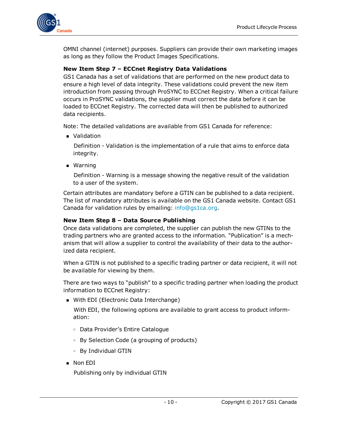

OMNI channel (internet) purposes. Suppliers can provide their own marketing images as long as they follow the Product Images Specifications.

#### **New Item Step 7 – ECCnet Registry Data Validations**

GS1 Canada has a set of validations that are performed on the new product data to ensure a high level of data integrity. These validations could prevent the new item introduction from passing through ProSYNC to ECCnet Registry. When a critical failure occurs in ProSYNC validations, the supplier must correct the data before it can be loaded to ECCnet Registry. The corrected data will then be published to authorized data recipients.

Note: The detailed validations are available from GS1 Canada for reference:

**N** Validation

Definition - Validation is the implementation of a rule that aims to enforce data integrity.

■ Warning

Definition - Warning is a message showing the negative result of the validation to a user of the system.

Certain attributes are mandatory before a GTIN can be published to a data recipient. The list of mandatory attributes is available on the GS1 Canada website. Contact GS1 Canada for validation rules by emailing: [info@gs1ca.org.](mailto:info@gs1ca.org?subject=Attribute Validation Rules?subject=Attribute Validation Rules)

#### **New Item Step 8 – Data Source Publishing**

Once data validations are completed, the supplier can publish the new GTINs to the trading partners who are granted access to the information. "Publication" is a mechanism that will allow a supplier to control the availability of their data to the authorized data recipient.

When a GTIN is not published to a specific trading partner or data recipient, it will not be available for viewing by them.

There are two ways to "publish" to a specific trading partner when loading the product information to ECCnet Registry:

**Nith EDI (Electronic Data Interchange)** 

With EDI, the following options are available to grant access to product information:

- <sup>o</sup> Data Provider's Entire Catalogue
- <sup>o</sup> By Selection Code (a grouping of products)
- <sup>o</sup> By Individual GTIN
- **Non EDI**

Publishing only by individual GTIN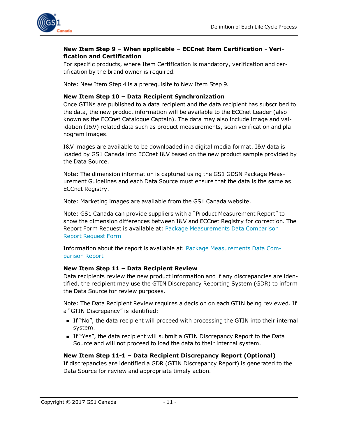

#### **New Item Step 9 – When applicable – ECCnet Item Certification - Verification and Certification**

For specific products, where Item Certification is mandatory, verification and certification by the brand owner is required.

Note: New Item Step 4 is a prerequisite to New Item Step 9.

#### **New Item Step 10 – Data Recipient Synchronization**

Once GTINs are published to a data recipient and the data recipient has subscribed to the data, the new product information will be available to the ECCnet Leader (also known as the ECCnet Catalogue Captain). The data may also include image and validation (I&V) related data such as product measurements, scan verification and planogram images.

I&V images are available to be downloaded in a digital media format. I&V data is loaded by GS1 Canada into ECCnet I&V based on the new product sample provided by the Data Source.

Note: The dimension information is captured using the GS1 GDSN Package Measurement Guidelines and each Data Source must ensure that the data is the same as ECCnet Registry.

Note: Marketing images are available from the GS1 Canada website.

Note: GS1 Canada can provide suppliers with a "Product Measurement Report" to show the dimension differences between I&V and ECCnet Registry for correction. The Report Form Request is available at: Package [Measurements](http://www.gs1ca.org/PackageMeasurement) Data Comparison Report [Request](http://www.gs1ca.org/PackageMeasurement) Form

Information about the report is available at: Package [Measurements](https://www.gs1ca.org/page.asp?intNodeID=0&intPageID=1184) Data Com[parison](https://www.gs1ca.org/page.asp?intNodeID=0&intPageID=1184) Report

#### **New Item Step 11 – Data Recipient Review**

Data recipients review the new product information and if any discrepancies are identified, the recipient may use the GTIN Discrepancy Reporting System (GDR) to inform the Data Source for review purposes.

Note: The Data Recipient Review requires a decision on each GTIN being reviewed. If a "GTIN Discrepancy" is identified:

- If "No", the data recipient will proceed with processing the GTIN into their internal system.
- <sup>n</sup> If "Yes", the data recipient will submit a GTIN Discrepancy Report to the Data Source and will not proceed to load the data to their internal system.

#### **New Item Step 11-1 – Data Recipient Discrepancy Report (Optional)**

If discrepancies are identified a GDR (GTIN Discrepancy Report) is generated to the Data Source for review and appropriate timely action.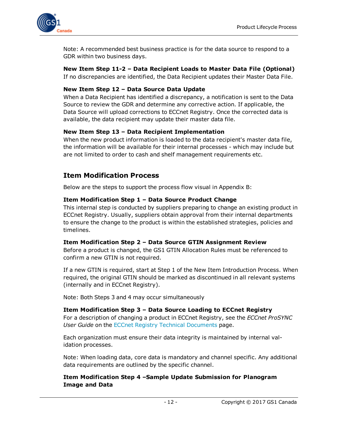

Note: A recommended best business practice is for the data source to respond to a GDR within two business days.

**New Item Step 11-2 – Data Recipient Loads to Master Data File (Optional)** If no discrepancies are identified, the Data Recipient updates their Master Data File.

#### **New Item Step 12 – Data Source Data Update**

When a Data Recipient has identified a discrepancy, a notification is sent to the Data Source to review the GDR and determine any corrective action. If applicable, the Data Source will upload corrections to ECCnet Registry. Once the corrected data is available, the data recipient may update their master data file.

#### **New Item Step 13 – Data Recipient Implementation**

When the new product information is loaded to the data recipient's master data file, the information will be available for their internal processes - which may include but are not limited to order to cash and shelf management requirements etc.

### <span id="page-11-0"></span>**Item Modification Process**

Below are the steps to support the process flow visual in Appendix B:

#### **Item Modification Step 1 – Data Source Product Change**

This internal step is conducted by suppliers preparing to change an existing product in ECCnet Registry. Usually, suppliers obtain approval from their internal departments to ensure the change to the product is within the established strategies, policies and timelines.

#### **Item Modification Step 2 – Data Source GTIN Assignment Review**

Before a product is changed, the GS1 GTIN Allocation Rules must be referenced to confirm a new GTIN is not required.

If a new GTIN is required, start at Step 1 of the New Item Introduction Process. When required, the original GTIN should be marked as discontinued in all relevant systems (internally and in ECCnet Registry).

Note: Both Steps 3 and 4 may occur simultaneously

**Item Modification Step 3 – Data Source Loading to ECCnet Registry** For a description of changing a product in ECCnet Registry, see the *ECCnet ProSYNC User Guide* on the ECCnet Registry Technical [Documents](http://www.gs1ca.org/apps/eccnet/documents.asp) page.

Each organization must ensure their data integrity is maintained by internal validation processes.

Note: When loading data, core data is mandatory and channel specific. Any additional data requirements are outlined by the specific channel.

**Item Modification Step 4 –Sample Update Submission for Planogram Image and Data**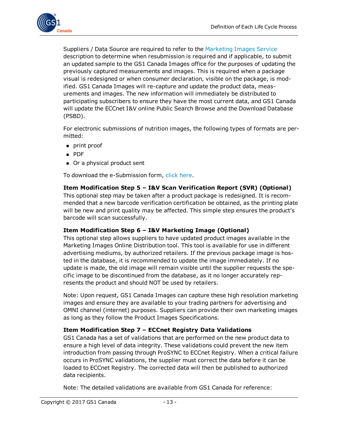

Suppliers / Data Source are required to refer to the [Marketing](http://www.gs1ca.org/pages/n/Services/IV_Marketing_Images.asp) Images Service description to determine when resubmission is required and if applicable, to submit an updated sample to the GS1 Canada Images office for the purposes of updating the previously captured measurements and images. This is required when a package visual is redesigned or when consumer declaration, visible on the package, is modified. GS1 Canada Images will re-capture and update the product data, measurements and images. The new information will immediately be distributed to participating subscribers to ensure they have the most current data, and GS1 Canada will update the ECCnet I&V online Public Search Browse and the Download Database (PSBD).

For electronic submissions of nutrition images, the following types of formats are permitted:

- $\blacksquare$  print proof
- <sup>n</sup> PDF
- Or a physical product sent

To download the e-Submission form, click [here](http://www.gs1ca.org/EICS/Item_Cert_e-Submission_form_en.xls).

#### **Item Modification Step 5 – I&V Scan Verification Report (SVR) (Optional)**

This optional step may be taken after a product package is redesigned. It is recommended that a new barcode verification certification be obtained, as the printing plate will be new and print quality may be affected. This simple step ensures the product's barcode will scan successfully.

#### **Item Modification Step 6 – I&V Marketing Image (Optional)**

This optional step allows suppliers to have updated product images available in the Marketing Images Online Distribution tool. This tool is available for use in different advertising mediums, by authorized retailers. If the previous package image is hosted in the database, it is recommended to update the image immediately. If no update is made, the old image will remain visible until the supplier requests the specific image to be discontinued from the database, as it no longer accurately represents the product and should NOT be used by retailers.

Note: Upon request, GS1 Canada Images can capture these high resolution marketing images and ensure they are available to your trading partners for advertising and OMNI channel (internet) purposes. Suppliers can provide their own marketing images as long as they follow the Product Images Specifications.

#### **Item Modification Step 7 – ECCnet Registry Data Validations**

GS1 Canada has a set of validations that are performed on the new product data to ensure a high level of data integrity. These validations could prevent the new item introduction from passing through ProSYNC to ECCnet Registry. When a critical failure occurs in ProSYNC validations, the supplier must correct the data before it can be loaded to ECCnet Registry. The corrected data will then be published to authorized data recipients.

Note: The detailed validations are available from GS1 Canada for reference: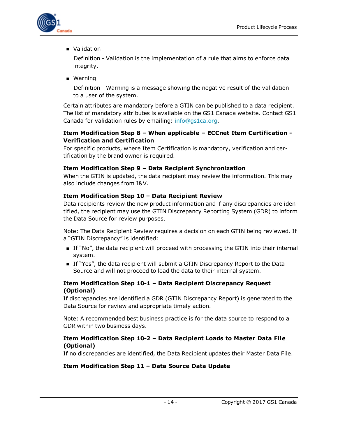

**N** Validation

Definition - Validation is the implementation of a rule that aims to enforce data integrity.

**n** Warning

Definition - Warning is a message showing the negative result of the validation to a user of the system.

Certain attributes are mandatory before a GTIN can be published to a data recipient. The list of mandatory attributes is available on the GS1 Canada website. Contact GS1 Canada for validation rules by emailing: [info@gs1ca.org.](mailto:info@gs1ca.org?subject=Attribute Validation Rules?subject=Attribute Validation Rules)

#### **Item Modification Step 8 – When applicable – ECCnet Item Certification - Verification and Certification**

For specific products, where Item Certification is mandatory, verification and certification by the brand owner is required.

#### **Item Modification Step 9 – Data Recipient Synchronization**

When the GTIN is updated, the data recipient may review the information. This may also include changes from I&V.

#### **Item Modification Step 10 – Data Recipient Review**

Data recipients review the new product information and if any discrepancies are identified, the recipient may use the GTIN Discrepancy Reporting System (GDR) to inform the Data Source for review purposes.

Note: The Data Recipient Review requires a decision on each GTIN being reviewed. If a "GTIN Discrepancy" is identified:

- If "No", the data recipient will proceed with processing the GTIN into their internal system.
- **n** If "Yes", the data recipient will submit a GTIN Discrepancy Report to the Data Source and will not proceed to load the data to their internal system.

#### **Item Modification Step 10-1 – Data Recipient Discrepancy Request (Optional)**

If discrepancies are identified a GDR (GTIN Discrepancy Report) is generated to the Data Source for review and appropriate timely action.

Note: A recommended best business practice is for the data source to respond to a GDR within two business days.

#### **Item Modification Step 10-2 – Data Recipient Loads to Master Data File (Optional)**

If no discrepancies are identified, the Data Recipient updates their Master Data File.

#### **Item Modification Step 11 – Data Source Data Update**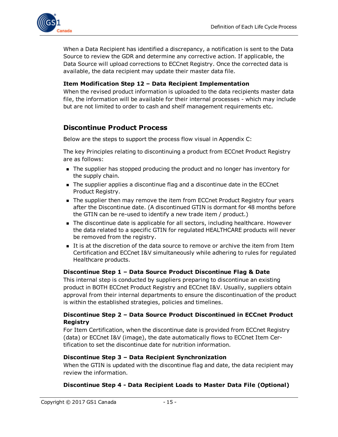

When a Data Recipient has identified a discrepancy, a notification is sent to the Data Source to review the GDR and determine any corrective action. If applicable, the Data Source will upload corrections to ECCnet Registry. Once the corrected data is available, the data recipient may update their master data file.

#### **Item Modification Step 12 – Data Recipient Implementation**

When the revised product information is uploaded to the data recipients master data file, the information will be available for their internal processes - which may include but are not limited to order to cash and shelf management requirements etc.

### <span id="page-14-0"></span>**Discontinue Product Process**

Below are the steps to support the process flow visual in Appendix C:

The key Principles relating to discontinuing a product from ECCnet Product Registry are as follows:

- n The supplier has stopped producing the product and no longer has inventory for the supply chain.
- n The supplier applies a discontinue flag and a discontinue date in the ECCnet Product Registry.
- n The supplier then may remove the item from ECCnet Product Registry four years after the Discontinue date. (A discontinued GTIN is dormant for 48 months before the GTIN can be re-used to identify a new trade item / product.)
- <sup>n</sup> The discontinue date is applicable for all sectors, including healthcare. However the data related to a specific GTIN for regulated HEALTHCARE products will never be removed from the registry.
- It is at the discretion of the data source to remove or archive the item from Item Certification and ECCnet I&V simultaneously while adhering to rules for regulated Healthcare products.

#### **Discontinue Step 1 – Data Source Product Discontinue Flag & Date**

This internal step is conducted by suppliers preparing to discontinue an existing product in BOTH ECCnet Product Registry and ECCnet I&V. Usually, suppliers obtain approval from their internal departments to ensure the discontinuation of the product is within the established strategies, policies and timelines.

#### **Discontinue Step 2 – Data Source Product Discontinued in ECCnet Product Registry**

For Item Certification, when the discontinue date is provided from ECCnet Registry (data) or ECCnet I&V (image), the date automatically flows to ECCnet Item Certification to set the discontinue date for nutrition information.

#### **Discontinue Step 3 – Data Recipient Synchronization**

When the GTIN is updated with the discontinue flag and date, the data recipient may review the information.

#### **Discontinue Step 4 - Data Recipient Loads to Master Data File (Optional)**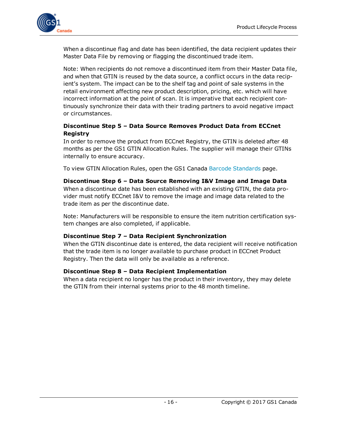

When a discontinue flag and date has been identified, the data recipient updates their Master Data File by removing or flagging the discontinued trade item.

Note: When recipients do not remove a discontinued item from their Master Data file, and when that GTIN is reused by the data source, a conflict occurs in the data recipient's system. The impact can be to the shelf tag and point of sale systems in the retail environment affecting new product description, pricing, etc. which will have incorrect information at the point of scan. It is imperative that each recipient continuously synchronize their data with their trading partners to avoid negative impact or circumstances.

#### **Discontinue Step 5 – Data Source Removes Product Data from ECCnet Registry**

In order to remove the product from ECCnet Registry, the GTIN is deleted after 48 months as per the GS1 GTIN Allocation Rules. The supplier will manage their GTINs internally to ensure accuracy.

To view GTIN Allocation Rules, open the GS1 Canada Barcode [Standards](http://www.gs1ca.org/pages/n/standards/Barcode_Standards.asp#show_hide_GTIN_Allocation_Rules) page.

#### **Discontinue Step 6 – Data Source Removing I&V Image and Image Data**

When a discontinue date has been established with an existing GTIN, the data provider must notify ECCnet I&V to remove the image and image data related to the trade item as per the discontinue date.

Note: Manufacturers will be responsible to ensure the item nutrition certification system changes are also completed, if applicable.

#### **Discontinue Step 7 – Data Recipient Synchronization**

When the GTIN discontinue date is entered, the data recipient will receive notification that the trade item is no longer available to purchase product in ECCnet Product Registry. Then the data will only be available as a reference.

#### **Discontinue Step 8 – Data Recipient Implementation**

When a data recipient no longer has the product in their inventory, they may delete the GTIN from their internal systems prior to the 48 month timeline.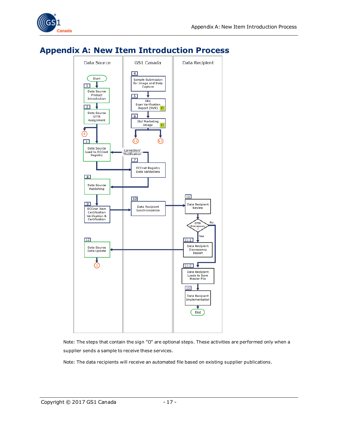

## <span id="page-16-0"></span>**Appendix A: New Item Introduction Process**



Note: The steps that contain the sign "O" are optional steps. These activities are performed only when a supplier sends a sample to receive these services.

Note: The data recipients will receive an automated file based on existing supplier publications.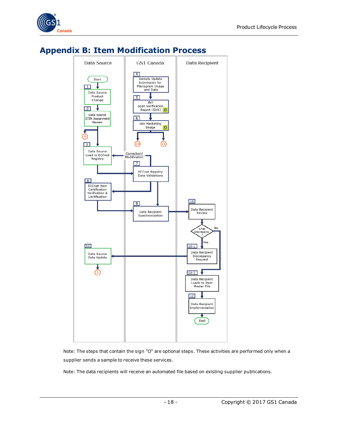



## <span id="page-17-0"></span>**Appendix B: Item Modification Process**

Note: The steps that contain the sign "O" are optional steps. These activities are performed only when a supplier sends a sample to receive these services.

Note: The data recipients will receive an automated file based on existing supplier publications.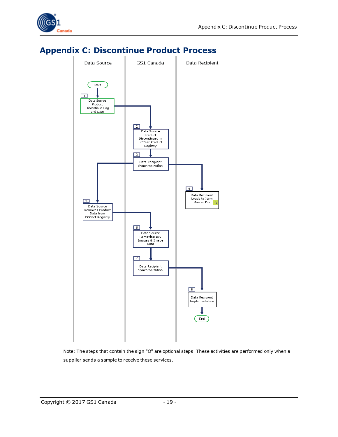



### <span id="page-18-0"></span>**Appendix C: Discontinue Product Process**

Note: The steps that contain the sign "O" are optional steps. These activities are performed only when a supplier sends a sample to receive these services.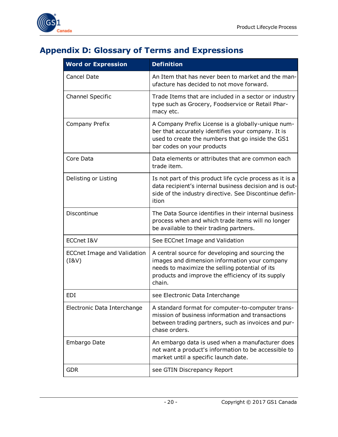

## <span id="page-19-0"></span>**Appendix D: Glossary of Terms and Expressions**

| <b>Word or Expression</b>                   | <b>Definition</b>                                                                                                                                                                                                  |
|---------------------------------------------|--------------------------------------------------------------------------------------------------------------------------------------------------------------------------------------------------------------------|
| Cancel Date                                 | An Item that has never been to market and the man-<br>ufacture has decided to not move forward.                                                                                                                    |
| <b>Channel Specific</b>                     | Trade Items that are included in a sector or industry<br>type such as Grocery, Foodservice or Retail Phar-<br>macy etc.                                                                                            |
| Company Prefix                              | A Company Prefix License is a globally-unique num-<br>ber that accurately identifies your company. It is<br>used to create the numbers that go inside the GS1<br>bar codes on your products                        |
| Core Data                                   | Data elements or attributes that are common each<br>trade item.                                                                                                                                                    |
| Delisting or Listing                        | Is not part of this product life cycle process as it is a<br>data recipient's internal business decision and is out-<br>side of the industry directive. See Discontinue defin-<br>ition                            |
| Discontinue                                 | The Data Source identifies in their internal business<br>process when and which trade items will no longer<br>be available to their trading partners.                                                              |
| ECCnet I&V                                  | See ECCnet Image and Validation                                                                                                                                                                                    |
| <b>ECCnet Image and Validation</b><br>(18V) | A central source for developing and sourcing the<br>images and dimension information your company<br>needs to maximize the selling potential of its<br>products and improve the efficiency of its supply<br>chain. |
| EDI                                         | see Electronic Data Interchange                                                                                                                                                                                    |
| Electronic Data Interchange                 | A standard format for computer-to-computer trans-<br>mission of business information and transactions<br>between trading partners, such as invoices and pur-<br>chase orders.                                      |
| Embargo Date                                | An embargo data is used when a manufacturer does<br>not want a product's information to be accessible to<br>market until a specific launch date.                                                                   |
| <b>GDR</b>                                  | see GTIN Discrepancy Report                                                                                                                                                                                        |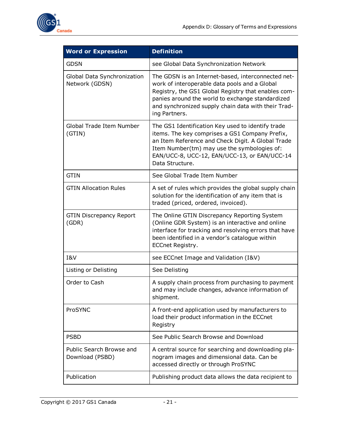

| <b>Word or Expression</b>                     | <b>Definition</b>                                                                                                                                                                                                                                                                      |
|-----------------------------------------------|----------------------------------------------------------------------------------------------------------------------------------------------------------------------------------------------------------------------------------------------------------------------------------------|
| <b>GDSN</b>                                   | see Global Data Synchronization Network                                                                                                                                                                                                                                                |
| Global Data Synchronization<br>Network (GDSN) | The GDSN is an Internet-based, interconnected net-<br>work of interoperable data pools and a Global<br>Registry, the GS1 Global Registry that enables com-<br>panies around the world to exchange standardized<br>and synchronized supply chain data with their Trad-<br>ing Partners. |
| Global Trade Item Number<br>(GTIN)            | The GS1 Identification Key used to identify trade<br>items. The key comprises a GS1 Company Prefix,<br>an Item Reference and Check Digit. A Global Trade<br>Item Number(tm) may use the symbologies of:<br>EAN/UCC-8, UCC-12, EAN/UCC-13, or EAN/UCC-14<br>Data Structure.             |
| <b>GTIN</b>                                   | See Global Trade Item Number                                                                                                                                                                                                                                                           |
| <b>GTIN Allocation Rules</b>                  | A set of rules which provides the global supply chain<br>solution for the identification of any item that is<br>traded (priced, ordered, invoiced).                                                                                                                                    |
| <b>GTIN Discrepancy Report</b><br>(GDR)       | The Online GTIN Discrepancy Reporting System<br>(Online GDR System) is an interactive and online<br>interface for tracking and resolving errors that have<br>been identified in a vendor's catalogue within<br>ECCnet Registry.                                                        |
| I&V                                           | see ECCnet Image and Validation (I&V)                                                                                                                                                                                                                                                  |
| Listing or Delisting                          | See Delisting                                                                                                                                                                                                                                                                          |
| Order to Cash                                 | A supply chain process from purchasing to payment<br>and may include changes, advance information of<br>shipment.                                                                                                                                                                      |
| ProSYNC                                       | A front-end application used by manufacturers to<br>load their product information in the ECCnet<br>Registry                                                                                                                                                                           |
| <b>PSBD</b>                                   | See Public Search Browse and Download                                                                                                                                                                                                                                                  |
| Public Search Browse and<br>Download (PSBD)   | A central source for searching and downloading pla-<br>nogram images and dimensional data. Can be<br>accessed directly or through ProSYNC                                                                                                                                              |
| Publication                                   | Publishing product data allows the data recipient to                                                                                                                                                                                                                                   |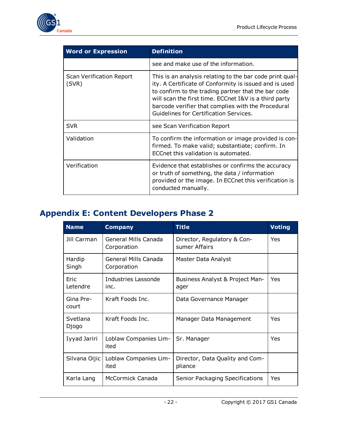

| <b>Word or Expression</b>                | <b>Definition</b>                                                                                                                                                                                                                                                                                                                  |  |
|------------------------------------------|------------------------------------------------------------------------------------------------------------------------------------------------------------------------------------------------------------------------------------------------------------------------------------------------------------------------------------|--|
|                                          | see and make use of the information.                                                                                                                                                                                                                                                                                               |  |
| <b>Scan Verification Report</b><br>(SVR) | This is an analysis relating to the bar code print qual-<br>ity. A Certificate of Conformity is issued and is used<br>to confirm to the trading partner that the bar code<br>will scan the first time. ECCnet I&V is a third party<br>barcode verifier that complies with the Procedural<br>Guidelines for Certification Services. |  |
| <b>SVR</b>                               | see Scan Verification Report                                                                                                                                                                                                                                                                                                       |  |
| Validation                               | To confirm the information or image provided is con-<br>firmed. To make valid; substantiate; confirm. In<br>ECCnet this validation is automated.                                                                                                                                                                                   |  |
| Verification                             | Evidence that establishes or confirms the accuracy<br>or truth of something, the data / information<br>provided or the image. In ECCnet this verification is<br>conducted manually.                                                                                                                                                |  |

## <span id="page-21-0"></span>**Appendix E: Content Developers Phase 2**

| <b>Name</b>        | <b>Company</b>                      | <b>Title</b>                                 | <b>Voting</b> |
|--------------------|-------------------------------------|----------------------------------------------|---------------|
| Jill Carman        | General Mills Canada<br>Corporation | Director, Regulatory & Con-<br>sumer Affairs | Yes           |
| Hardip<br>Singh    | General Mills Canada<br>Corporation | Master Data Analyst                          |               |
| Eric<br>Letendre   | Industries Lassonde<br>inc.         | Business Analyst & Project Man-<br>ager      | Yes           |
| Gina Pre-<br>court | Kraft Foods Inc.                    | Data Governance Manager                      |               |
| Svetlana<br>Djogo  | Kraft Foods Inc.                    | Manager Data Management                      | Yes           |
| Iyyad Jariri       | Loblaw Companies Lim-<br>ited       | Sr. Manager                                  | Yes           |
| Silvana Oijic      | Loblaw Companies Lim-<br>ited       | Director, Data Quality and Com-<br>pliance   |               |
| Karla Lang         | McCormick Canada                    | Senior Packaging Specifications              | Yes           |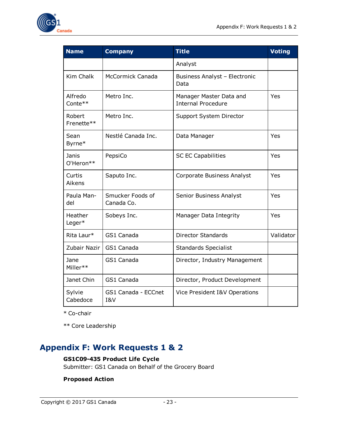

| <b>Name</b>          | <b>Company</b>                 | <b>Title</b>                                         | <b>Voting</b> |
|----------------------|--------------------------------|------------------------------------------------------|---------------|
|                      |                                | Analyst                                              |               |
| Kim Chalk            | <b>McCormick Canada</b>        | Business Analyst - Electronic<br>Data                |               |
| Alfredo<br>Conte**   | Metro Inc.                     | Manager Master Data and<br><b>Internal Procedure</b> | Yes           |
| Robert<br>Frenette** | Metro Inc.                     | Support System Director                              |               |
| Sean<br>Byrne*       | Nestlé Canada Inc.             | Data Manager                                         | Yes           |
| Janis<br>O'Heron**   | PepsiCo                        | <b>SC EC Capabilities</b>                            | Yes           |
| Curtis<br>Aikens     | Saputo Inc.                    | Corporate Business Analyst                           | Yes           |
| Paula Man-<br>del    | Smucker Foods of<br>Canada Co. | Senior Business Analyst                              | Yes           |
| Heather<br>Leger*    | Sobeys Inc.                    | Manager Data Integrity                               | Yes           |
| Rita Laur*           | GS1 Canada                     | <b>Director Standards</b>                            | Validator     |
| Zubair Nazir         | GS1 Canada                     | <b>Standards Specialist</b>                          |               |
| Jane<br>Miller**     | GS1 Canada                     | Director, Industry Management                        |               |
| Janet Chin           | GS1 Canada                     | Director, Product Development                        |               |
| Sylvie<br>Cabedoce   | GS1 Canada - ECCnet<br>I&V     | Vice President I&V Operations                        |               |

\* Co-chair

\*\* Core Leadership

## <span id="page-22-0"></span>**Appendix F: Work Requests 1 & 2**

#### **GS1C09-435 Product Life Cycle**

Submitter: GS1 Canada on Behalf of the Grocery Board

#### **Proposed Action**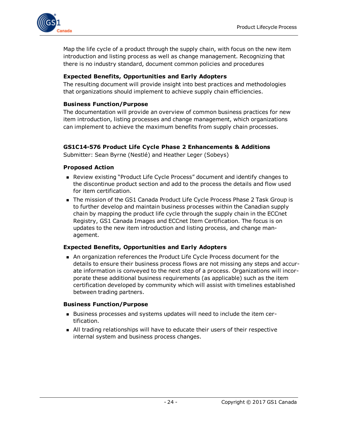

Map the life cycle of a product through the supply chain, with focus on the new item introduction and listing process as well as change management. Recognizing that there is no industry standard, document common policies and procedures

#### **Expected Benefits, Opportunities and Early Adopters**

The resulting document will provide insight into best practices and methodologies that organizations should implement to achieve supply chain efficiencies.

#### **Business Function/Purpose**

The documentation will provide an overview of common business practices for new item introduction, listing processes and change management, which organizations can implement to achieve the maximum benefits from supply chain processes.

#### **GS1C14-576 Product Life Cycle Phase 2 Enhancements & Additions**

Submitter: Sean Byrne (Nestlé) and Heather Leger (Sobeys)

#### **Proposed Action**

- **n** Review existing "Product Life Cycle Process" document and identify changes to the discontinue product section and add to the process the details and flow used for item certification.
- The mission of the GS1 Canada Product Life Cycle Process Phase 2 Task Group is to further develop and maintain business processes within the Canadian supply chain by mapping the product life cycle through the supply chain in the ECCnet Registry, GS1 Canada Images and ECCnet Item Certification. The focus is on updates to the new item introduction and listing process, and change management.

#### **Expected Benefits, Opportunities and Early Adopters**

n An organization references the Product Life Cycle Process document for the details to ensure their business process flows are not missing any steps and accurate information is conveyed to the next step of a process. Organizations will incorporate these additional business requirements (as applicable) such as the item certification developed by community which will assist with timelines established between trading partners.

#### **Business Function/Purpose**

- <sup>n</sup> Business processes and systems updates will need to include the item certification.
- <sup>n</sup> All trading relationships will have to educate their users of their respective internal system and business process changes.